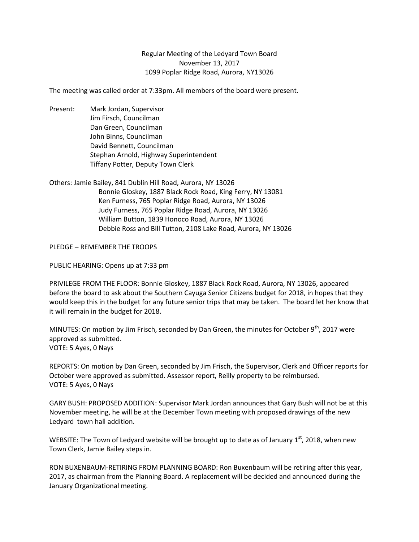## Regular Meeting of the Ledyard Town Board November 13, 2017 1099 Poplar Ridge Road, Aurora, NY13026

The meeting was called order at 7:33pm. All members of the board were present.

Present: Mark Jordan, Supervisor Jim Firsch, Councilman Dan Green, Councilman John Binns, Councilman David Bennett, Councilman Stephan Arnold, Highway Superintendent Tiffany Potter, Deputy Town Clerk

Others: Jamie Bailey, 841 Dublin Hill Road, Aurora, NY 13026 Bonnie Gloskey, 1887 Black Rock Road, King Ferry, NY 13081 Ken Furness, 765 Poplar Ridge Road, Aurora, NY 13026 Judy Furness, 765 Poplar Ridge Road, Aurora, NY 13026 William Button, 1839 Honoco Road, Aurora, NY 13026 Debbie Ross and Bill Tutton, 2108 Lake Road, Aurora, NY 13026

PLEDGE – REMEMBER THE TROOPS

PUBLIC HEARING: Opens up at 7:33 pm

PRIVILEGE FROM THE FLOOR: Bonnie Gloskey, 1887 Black Rock Road, Aurora, NY 13026, appeared before the board to ask about the Southern Cayuga Senior Citizens budget for 2018, in hopes that they would keep this in the budget for any future senior trips that may be taken. The board let her know that it will remain in the budget for 2018.

MINUTES: On motion by Jim Frisch, seconded by Dan Green, the minutes for October 9<sup>th</sup>, 2017 were approved as submitted. VOTE: 5 Ayes, 0 Nays

REPORTS: On motion by Dan Green, seconded by Jim Frisch, the Supervisor, Clerk and Officer reports for October were approved as submitted. Assessor report, Reilly property to be reimbursed. VOTE: 5 Ayes, 0 Nays

GARY BUSH: PROPOSED ADDITION: Supervisor Mark Jordan announces that Gary Bush will not be at this November meeting, he will be at the December Town meeting with proposed drawings of the new Ledyard town hall addition.

WEBSITE: The Town of Ledyard website will be brought up to date as of January 1<sup>st</sup>, 2018, when new Town Clerk, Jamie Bailey steps in.

RON BUXENBAUM-RETIRING FROM PLANNING BOARD: Ron Buxenbaum will be retiring after this year, 2017, as chairman from the Planning Board. A replacement will be decided and announced during the January Organizational meeting.